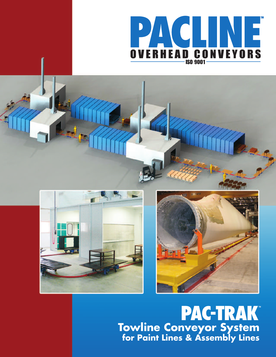



# TM **Towline Conveyor System for Paint Lines & Assembly Lines**